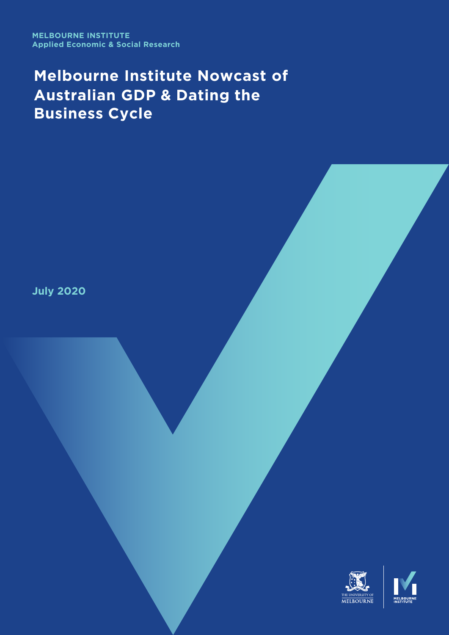**MELBOURNE INSTITUTE Applied Economic & Social Research**

# **Melbourne Institute Nowcast of Australian GDP & Dating the Business Cycle**

**July 2020**

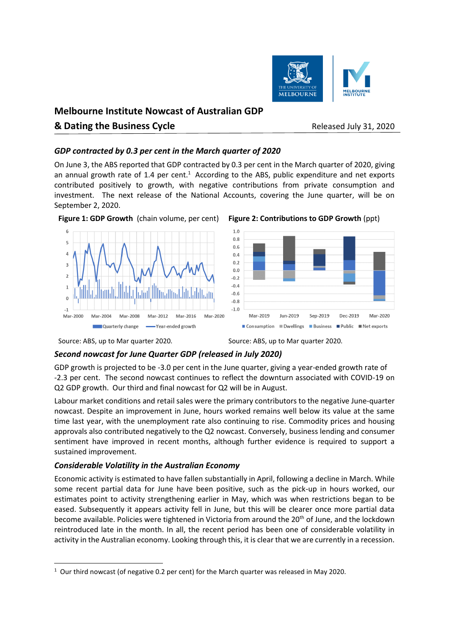

# **Melbourne Institute Nowcast of Australian GDP**

# **& Dating the Business Cycle Released July 31, 2020**

## *GDP contracted by 0.3 per cent in the March quarter of 2020*

On June 3, the ABS reported that GDP contracted by 0.3 per cent in the March quarter of 2020, giving an annual growth rate of 1.4 per cent.<sup>1</sup> According to the ABS, public expenditure and net exports contributed positively to growth, with negative contributions from private consumption and investment. The next release of the National Accounts, covering the June quarter, will be on September 2, 2020.



**Figure 1: GDP Growth** (chain volume, per cent) **Figure 2: Contributions to GDP Growth** (ppt)



Source: ABS, up to Mar quarter 2020. Source: ABS, up to Mar quarter 2020.

## *Second nowcast for June Quarter GDP (released in July 2020)*

GDP growth is projected to be -3.0 per cent in the June quarter, giving a year-ended growth rate of -2.3 per cent. The second nowcast continues to reflect the downturn associated with COVID-19 on Q2 GDP growth. Our third and final nowcast for Q2 will be in August.

Labour market conditions and retail sales were the primary contributors to the negative June-quarter nowcast. Despite an improvement in June, hours worked remains well below its value at the same time last year, with the unemployment rate also continuing to rise. Commodity prices and housing approvals also contributed negatively to the Q2 nowcast. Conversely, business lending and consumer sentiment have improved in recent months, although further evidence is required to support a sustained improvement.

## *Considerable Volatility in the Australian Economy*

Economic activity is estimated to have fallen substantially in April, following a decline in March. While some recent partial data for June have been positive, such as the pick-up in hours worked, our estimates point to activity strengthening earlier in May, which was when restrictions began to be eased. Subsequently it appears activity fell in June, but this will be clearer once more partial data become available. Policies were tightened in Victoria from around the 20<sup>th</sup> of June, and the lockdown reintroduced late in the month. In all, the recent period has been one of considerable volatility in activity in the Australian economy. Looking through this, it is clear that we are currently in a recession.

 $<sup>1</sup>$  Our third nowcast (of negative 0.2 per cent) for the March quarter was released in May 2020.</sup>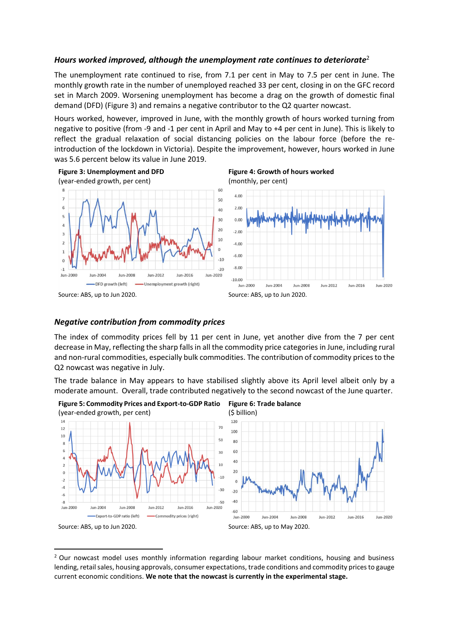#### *Hours worked improved, although the unemployment rate continues to deteriorate*<sup>2</sup>

The unemployment rate continued to rise, from 7.1 per cent in May to 7.5 per cent in June. The monthly growth rate in the number of unemployed reached 33 per cent, closing in on the GFC record set in March 2009. Worsening unemployment has become a drag on the growth of domestic final demand (DFD) (Figure 3) and remains a negative contributor to the Q2 quarter nowcast.

Hours worked, however, improved in June, with the monthly growth of hours worked turning from negative to positive (from -9 and -1 per cent in April and May to +4 per cent in June). This is likely to reflect the gradual relaxation of social distancing policies on the labour force (before the reintroduction of the lockdown in Victoria). Despite the improvement, however, hours worked in June was 5.6 percent below its value in June 2019.



## *Negative contribution from commodity prices*

The index of commodity prices fell by 11 per cent in June, yet another dive from the 7 per cent decrease in May, reflecting the sharp falls in all the commodity price categories in June, including rural and non-rural commodities, especially bulk commodities. The contribution of commodity prices to the Q2 nowcast was negative in July.

The trade balance in May appears to have stabilised slightly above its April level albeit only by a moderate amount. Overall, trade contributed negatively to the second nowcast of the June quarter.



<sup>&</sup>lt;sup>2</sup> Our nowcast model uses monthly information regarding labour market conditions, housing and business lending, retail sales, housing approvals, consumer expectations, trade conditions and commodity prices to gauge current economic conditions. **We note that the nowcast is currently in the experimental stage.**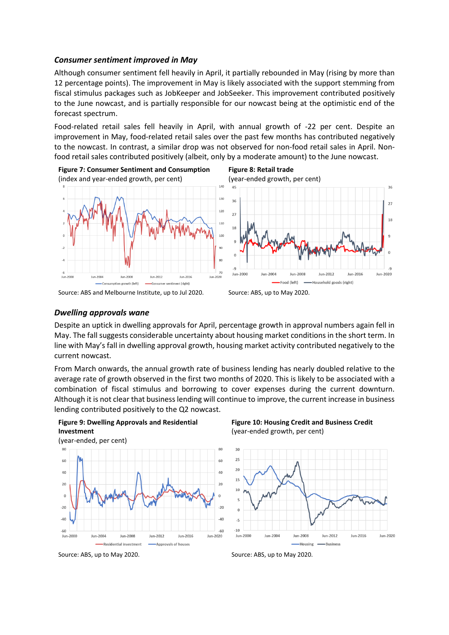#### *Consumer sentiment improved in May*

Although consumer sentiment fell heavily in April, it partially rebounded in May (rising by more than 12 percentage points). The improvement in May is likely associated with the support stemming from fiscal stimulus packages such as JobKeeper and JobSeeker. This improvement contributed positively to the June nowcast, and is partially responsible for our nowcast being at the optimistic end of the forecast spectrum.

Food-related retail sales fell heavily in April, with annual growth of -22 per cent. Despite an improvement in May, food-related retail sales over the past few months has contributed negatively to the nowcast. In contrast, a similar drop was not observed for non-food retail sales in April. Nonfood retail sales contributed positively (albeit, only by a moderate amount) to the June nowcast.



Source: ABS and Melbourne Institute, up to Jul 2020. Source: ABS, up to May 2020.



#### *Dwelling approvals wane*

Despite an uptick in dwelling approvals for April, percentage growth in approval numbers again fell in May. The fall suggests considerable uncertainty about housing market conditions in the short term. In line with May's fall in dwelling approval growth, housing market activity contributed negatively to the current nowcast.

From March onwards, the annual growth rate of business lending has nearly doubled relative to the average rate of growth observed in the first two months of 2020. This is likely to be associated with a combination of fiscal stimulus and borrowing to cover expenses during the current downturn. Although it is not clear that business lending will continue to improve, the current increase in business lending contributed positively to the Q2 nowcast.









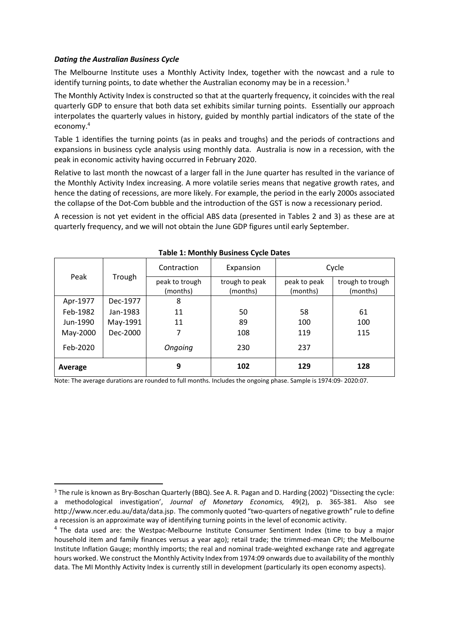#### *Dating the Australian Business Cycle*

The Melbourne Institute uses a Monthly Activity Index, together with the nowcast and a rule to identify turning points, to date whether the Australian economy may be in a recession. $3$ 

The Monthly Activity Index is constructed so that at the quarterly frequency, it coincides with the real quarterly GDP to ensure that both data set exhibits similar turning points. Essentially our approach interpolates the quarterly values in history, guided by monthly partial indicators of the state of the economy.<sup>4</sup>

Table 1 identifies the turning points (as in peaks and troughs) and the periods of contractions and expansions in business cycle analysis using monthly data. Australia is now in a recession, with the peak in economic activity having occurred in February 2020.

Relative to last month the nowcast of a larger fall in the June quarter has resulted in the variance of the Monthly Activity Index increasing. A more volatile series means that negative growth rates, and hence the dating of recessions, are more likely. For example, the period in the early 2000s associated the collapse of the Dot-Com bubble and the introduction of the GST is now a recessionary period.

A recession is not yet evident in the official ABS data (presented in Tables 2 and 3) as these are at quarterly frequency, and we will not obtain the June GDP figures until early September.

|          |          | Contraction    | Expansion      | Cycle        |                  |
|----------|----------|----------------|----------------|--------------|------------------|
| Peak     | Trough   | peak to trough | trough to peak | peak to peak | trough to trough |
|          |          | (months)       | (months)       | (months)     | (months)         |
| Apr-1977 | Dec-1977 | 8              |                |              |                  |
| Feb-1982 | Jan-1983 | 11             | 50             | 58           | 61               |
| Jun-1990 | May-1991 | 11             | 89             | 100          | 100              |
| May-2000 | Dec-2000 | 7              | 108            | 119          | 115              |
| Feb-2020 |          | Ongoing        | 230            | 237          |                  |
| Average  |          | 9              | 102            | 129          | 128              |

**Table 1: Monthly Business Cycle Dates**

Note: The average durations are rounded to full months. Includes the ongoing phase. Sample is 1974:09- 2020:07.

<sup>&</sup>lt;sup>3</sup> The rule is known as Bry-Boschan Quarterly (BBQ). See A. R. Pagan and D. Harding (2002) "Dissecting the cycle: a methodological investigation', *Journal of Monetary Economics,* 49(2), p. 365-381. Also see [http://www.ncer.edu.au/data/data.jsp.](http://www.ncer.edu.au/data/data.jsp) The commonly quoted "two-quarters of negative growth" rule to define a recession is an approximate way of identifying turning points in the level of economic activity.

<sup>&</sup>lt;sup>4</sup> The data used are: the Westpac-Melbourne Institute Consumer Sentiment Index (time to buy a major household item and family finances versus a year ago); retail trade; the trimmed-mean CPI; the Melbourne Institute Inflation Gauge; monthly imports; the real and nominal trade-weighted exchange rate and aggregate hours worked. We construct the Monthly Activity Index from 1974:09 onwards due to availability of the monthly data. The MI Monthly Activity Index is currently still in development (particularly its open economy aspects).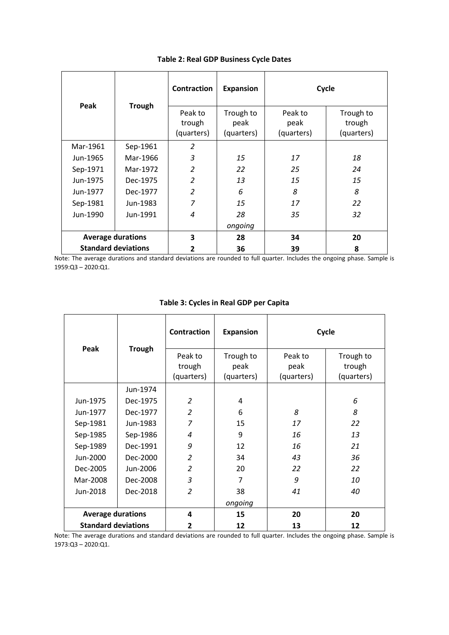| Peak                       |               | <b>Contraction</b>              | <b>Expansion</b>                | Cycle                         |                                   |
|----------------------------|---------------|---------------------------------|---------------------------------|-------------------------------|-----------------------------------|
|                            | <b>Trough</b> | Peak to<br>trough<br>(quarters) | Trough to<br>peak<br>(quarters) | Peak to<br>peak<br>(quarters) | Trough to<br>trough<br>(quarters) |
| Mar-1961                   | Sep-1961      | 2                               |                                 |                               |                                   |
| Jun-1965                   | Mar-1966      | 3                               | 15                              | 17                            | 18                                |
| Sep-1971                   | Mar-1972      | $\overline{2}$                  | 22                              | 25                            | 24                                |
| Jun-1975                   | Dec-1975      | $\overline{2}$                  | 13                              | 15                            | 15                                |
| Jun-1977                   | Dec-1977      | $\overline{2}$                  | 6                               | 8                             | 8                                 |
| Sep-1981                   | Jun-1983      | $\overline{z}$                  | 15                              | 17                            | 22                                |
| Jun-1990                   | Jun-1991      | $\boldsymbol{4}$                | 28                              | 35                            | 32                                |
|                            |               |                                 | ongoing                         |                               |                                   |
| <b>Average durations</b>   |               | 3                               | 28                              | 34                            | 20                                |
| <b>Standard deviations</b> |               | 2                               | 36                              | 39                            | 8                                 |

**Table 2: Real GDP Business Cycle Dates**

Note: The average durations and standard deviations are rounded to full quarter. Includes the ongoing phase. Sample is 1959:Q3 – 2020:Q1.

|                            |               | <b>Contraction</b> | <b>Expansion</b> | Cycle      |            |
|----------------------------|---------------|--------------------|------------------|------------|------------|
| Peak                       | <b>Trough</b> | Peak to            | Trough to        | Peak to    | Trough to  |
|                            |               | trough             | peak             | peak       | trough     |
|                            |               | (quarters)         | (quarters)       | (quarters) | (quarters) |
|                            | Jun-1974      |                    |                  |            |            |
| Jun-1975                   | Dec-1975      | $\overline{2}$     | 4                |            | 6          |
| Jun-1977                   | Dec-1977      | $\overline{2}$     | 6                | 8          | 8          |
| Sep-1981                   | Jun-1983      | 7                  | 15               | 17         | 22         |
| Sep-1985                   | Sep-1986      | $\boldsymbol{4}$   | 9                | 16         | 13         |
| Sep-1989                   | Dec-1991      | 9                  | 12               | 16         | 21         |
| Jun-2000                   | Dec-2000      | $\overline{2}$     | 34               | 43         | 36         |
| Dec-2005                   | Jun-2006      | $\overline{2}$     | 20               | 22         | 22         |
| Mar-2008                   | Dec-2008      | 3                  | 7                | 9          | 10         |
| Jun-2018                   | Dec-2018      | $\overline{2}$     | 38               | 41         | 40         |
|                            |               |                    | ongoing          |            |            |
| <b>Average durations</b>   |               | 4                  | 15               | 20         | 20         |
| <b>Standard deviations</b> |               | 2                  | 12               | 13         | 12         |

## **Table 3: Cycles in Real GDP per Capita**

Note: The average durations and standard deviations are rounded to full quarter. Includes the ongoing phase. Sample is 1973:Q3 – 2020:Q1.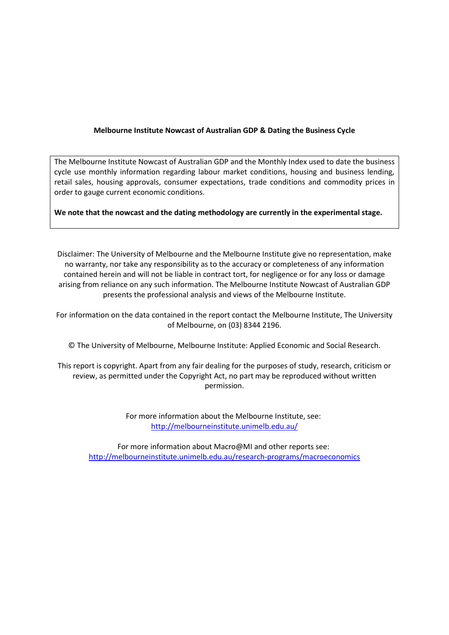## **Melbourne Institute Nowcast of Australian GDP & Dating the Business Cycle**

The Melbourne Institute Nowcast of Australian GDP and the Monthly Index used to date the business cycle use monthly information regarding labour market conditions, housing and business lending, retail sales, housing approvals, consumer expectations, trade conditions and commodity prices in order to gauge current economic conditions.

**We note that the nowcast and the dating methodology are currently in the experimental stage.**

Disclaimer: The University of Melbourne and the Melbourne Institute give no representation, make no warranty, nor take any responsibility as to the accuracy or completeness of any information contained herein and will not be liable in contract tort, for negligence or for any loss or damage arising from reliance on any such information. The Melbourne Institute Nowcast of Australian GDP presents the professional analysis and views of the Melbourne Institute.

For information on the data contained in the report contact the Melbourne Institute, The University of Melbourne, on (03) 8344 2196.

© The University of Melbourne, Melbourne Institute: Applied Economic and Social Research.

This report is copyright. Apart from any fair dealing for the purposes of study, research, criticism or review, as permitted under the Copyright Act, no part may be reproduced without written permission.

> For more information about the Melbourne Institute, see: <http://melbourneinstitute.unimelb.edu.au/>

For more information about Macro@MI and other reports see: <http://melbourneinstitute.unimelb.edu.au/research-programs/macroeconomics>